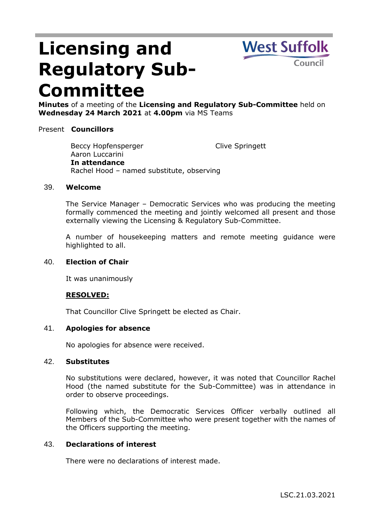# **Licensing and Regulatory Sub-Committee**



**Minutes** of a meeting of the **Licensing and Regulatory Sub-Committee** held on **Wednesday 24 March 2021** at **4.00pm** via MS Teams

## Present **Councillors**

Beccy Hopfensperger Aaron Luccarini Clive Springett **In attendance** Rachel Hood – named substitute, observing

#### 39. **Welcome**

The Service Manager – Democratic Services who was producing the meeting formally commenced the meeting and jointly welcomed all present and those externally viewing the Licensing & Regulatory Sub-Committee.

A number of housekeeping matters and remote meeting guidance were highlighted to all.

## 40. **Election of Chair**

It was unanimously

## **RESOLVED:**

That Councillor Clive Springett be elected as Chair.

## 41. **Apologies for absence**

No apologies for absence were received.

#### 42. **Substitutes**

No substitutions were declared, however, it was noted that Councillor Rachel Hood (the named substitute for the Sub-Committee) was in attendance in order to observe proceedings.

Following which, the Democratic Services Officer verbally outlined all Members of the Sub-Committee who were present together with the names of the Officers supporting the meeting.

## 43. **Declarations of interest**

There were no declarations of interest made.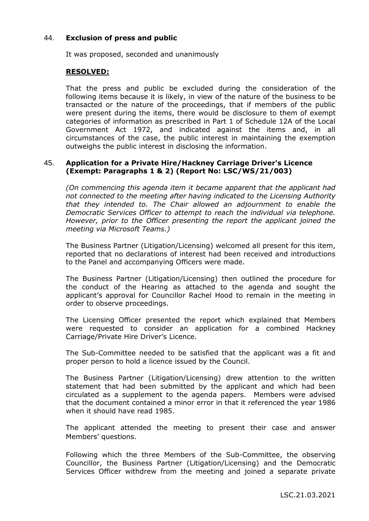## 44. **Exclusion of press and public**

It was proposed, seconded and unanimously

## **RESOLVED:**

That the press and public be excluded during the consideration of the following items because it is likely, in view of the nature of the business to be transacted or the nature of the proceedings, that if members of the public were present during the items, there would be disclosure to them of exempt categories of information as prescribed in Part 1 of Schedule 12A of the Local Government Act 1972, and indicated against the items and, in all circumstances of the case, the public interest in maintaining the exemption outweighs the public interest in disclosing the information.

## 45. **Application for a Private Hire/Hackney Carriage Driver's Licence (Exempt: Paragraphs 1 & 2) (Report No: LSC/WS/21/003)**

*(On commencing this agenda item it became apparent that the applicant had not connected to the meeting after having indicated to the Licensing Authority that they intended to. The Chair allowed an adjournment to enable the Democratic Services Officer to attempt to reach the individual via telephone. However, prior to the Officer presenting the report the applicant joined the meeting via Microsoft Teams.)*

The Business Partner (Litigation/Licensing) welcomed all present for this item, reported that no declarations of interest had been received and introductions to the Panel and accompanying Officers were made.

The Business Partner (Litigation/Licensing) then outlined the procedure for the conduct of the Hearing as attached to the agenda and sought the applicant's approval for Councillor Rachel Hood to remain in the meeting in order to observe proceedings.

The Licensing Officer presented the report which explained that Members were requested to consider an application for a combined Hackney Carriage/Private Hire Driver's Licence.

The Sub-Committee needed to be satisfied that the applicant was a fit and proper person to hold a licence issued by the Council.

The Business Partner (Litigation/Licensing) drew attention to the written statement that had been submitted by the applicant and which had been circulated as a supplement to the agenda papers. Members were advised that the document contained a minor error in that it referenced the year 1986 when it should have read 1985.

The applicant attended the meeting to present their case and answer Members' questions.

Following which the three Members of the Sub-Committee, the observing Councillor, the Business Partner (Litigation/Licensing) and the Democratic Services Officer withdrew from the meeting and joined a separate private